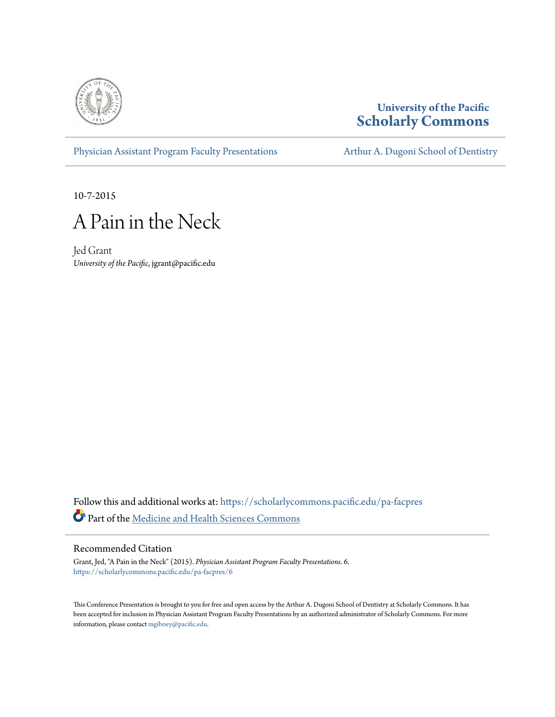

### **University of the Pacific [Scholarly Commons](https://scholarlycommons.pacific.edu?utm_source=scholarlycommons.pacific.edu%2Fpa-facpres%2F6&utm_medium=PDF&utm_campaign=PDFCoverPages)**

[Physician Assistant Program Faculty Presentations](https://scholarlycommons.pacific.edu/pa-facpres?utm_source=scholarlycommons.pacific.edu%2Fpa-facpres%2F6&utm_medium=PDF&utm_campaign=PDFCoverPages) [Arthur A. Dugoni School of Dentistry](https://scholarlycommons.pacific.edu/dugoni?utm_source=scholarlycommons.pacific.edu%2Fpa-facpres%2F6&utm_medium=PDF&utm_campaign=PDFCoverPages)

10-7-2015



Jed Grant *University of the Pacific*, jgrant@pacific.edu

 ${\bf Follow~ this~ and~ additional~ works~ at:~ https://scholarlycommons.pacific.edu/pa-facpres$  ${\bf Follow~ this~ and~ additional~ works~ at:~ https://scholarlycommons.pacific.edu/pa-facpres$ Part of the [Medicine and Health Sciences Commons](http://network.bepress.com/hgg/discipline/648?utm_source=scholarlycommons.pacific.edu%2Fpa-facpres%2F6&utm_medium=PDF&utm_campaign=PDFCoverPages)

#### Recommended Citation

Grant, Jed, "A Pain in the Neck" (2015). *Physician Assistant Program Faculty Presentations*. 6. [https://scholarlycommons.pacific.edu/pa-facpres/6](https://scholarlycommons.pacific.edu/pa-facpres/6?utm_source=scholarlycommons.pacific.edu%2Fpa-facpres%2F6&utm_medium=PDF&utm_campaign=PDFCoverPages)

This Conference Presentation is brought to you for free and open access by the Arthur A. Dugoni School of Dentistry at Scholarly Commons. It has been accepted for inclusion in Physician Assistant Program Faculty Presentations by an authorized administrator of Scholarly Commons. For more information, please contact [mgibney@pacific.edu.](mailto:mgibney@pacific.edu)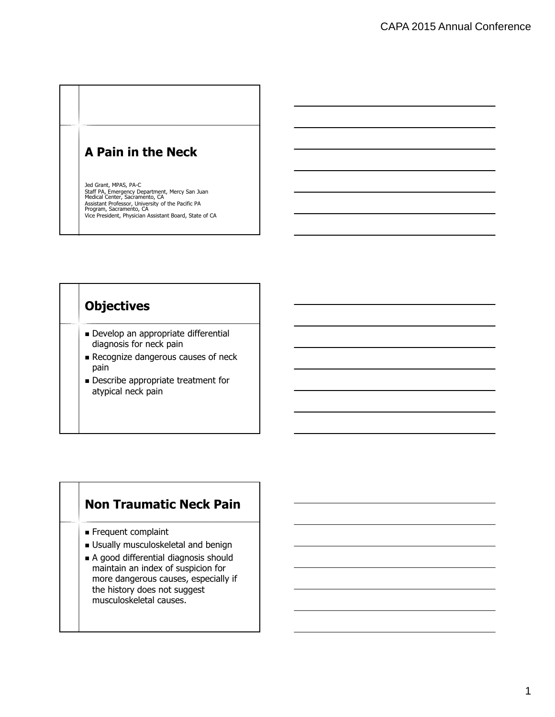### **A Pain in the Neck**

Jed Grant, MPAS, PA-C Staff PA, Emergency Department, Mercy San Juan Medical Center, Sacramento, CA Assistant Professor, University of the Pacific PA Program, Sacramento, CA Vice President, Physician Assistant Board, State of CA

#### **Objectives**

- Develop an appropriate differential diagnosis for neck pain
- Recognize dangerous causes of neck pain
- **Describe appropriate treatment for** atypical neck pain

### **Non Traumatic Neck Pain**

- Frequent complaint
- **Usually musculoskeletal and benign**
- A good differential diagnosis should maintain an index of suspicion for more dangerous causes, especially if the history does not suggest musculoskeletal causes.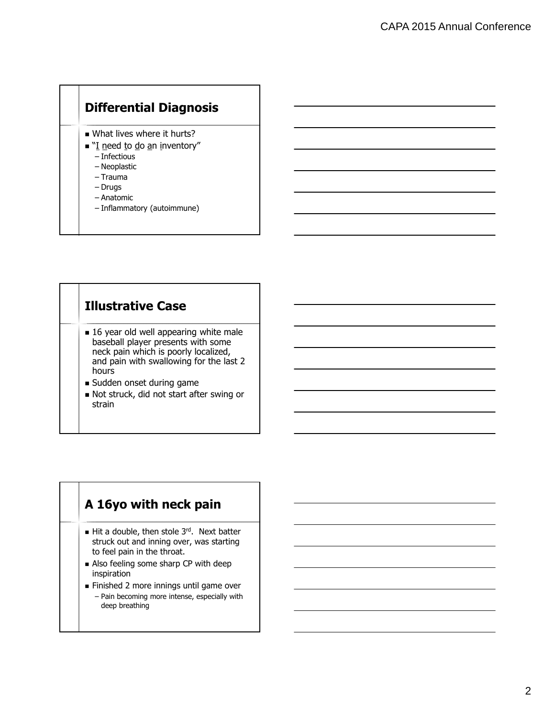### **Differential Diagnosis**

- What lives where it hurts?
- "I need to do an inventory"
	- Infectious
	- Neoplastic
	- Trauma
	- Drugs
	- Anatomic
	- Inflammatory (autoimmune)

### **Illustrative Case**

- 16 year old well appearing white male baseball player presents with some neck pain which is poorly localized, and pain with swallowing for the last 2 hours
- Sudden onset during game
- Not struck, did not start after swing or strain

### **A 16yo with neck pain**

- $\blacksquare$  Hit a double, then stole 3rd. Next batter struck out and inning over, was starting to feel pain in the throat.
- Also feeling some sharp CP with deep inspiration
- Finished 2 more innings until game over – Pain becoming more intense, especially with deep breathing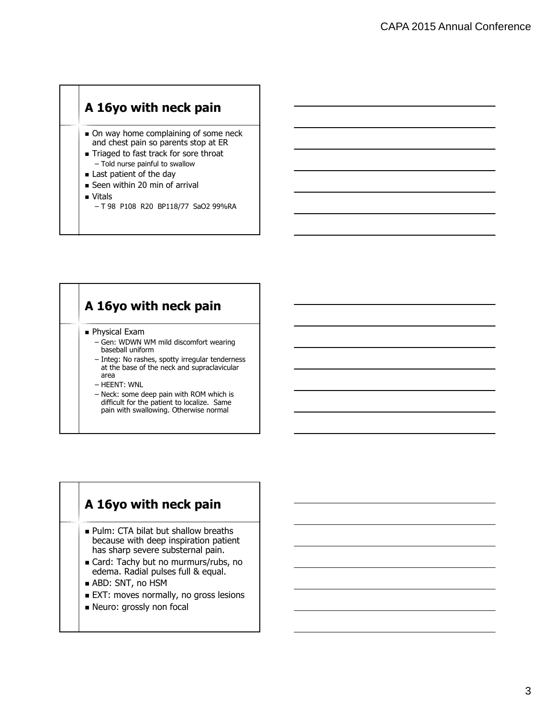### **A 16yo with neck pain**

- On way home complaining of some neck and chest pain so parents stop at ER
- Triaged to fast track for sore throat – Told nurse painful to swallow
- **Last patient of the day**
- Seen within 20 min of arrival
- **vitals** 
	- T 98 P108 R20 BP118/77 SaO2 99%RA

### **A 16yo with neck pain**

- **Physical Exam** 
	- Gen: WDWN WM mild discomfort wearing baseball uniform
	- Integ: No rashes, spotty irregular tenderness at the base of the neck and supraclavicular area
	- HEENT: WNL
	- Neck: some deep pain with ROM which is difficult for the patient to localize. Same pain with swallowing. Otherwise normal

### **A 16yo with neck pain**

- Pulm: CTA bilat but shallow breaths because with deep inspiration patient has sharp severe substernal pain.
- Card: Tachy but no murmurs/rubs, no edema. Radial pulses full & equal.
- ABD: SNT, no HSM
- EXT: moves normally, no gross lesions
- Neuro: grossly non focal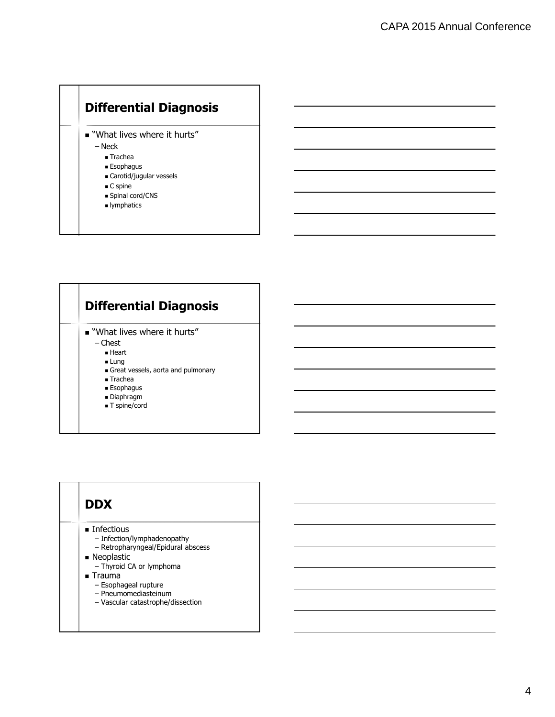



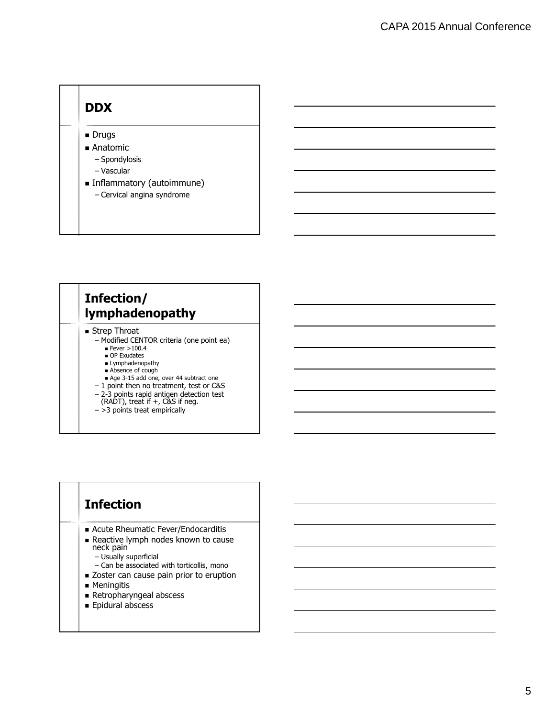# **DDX**

- **Drugs**
- Anatomic
	- Spondylosis
	- Vascular
- **Inflammatory (autoimmune)** – Cervical angina syndrome

### **Infection/ lymphadenopathy** ■ Strep Throat

- Modified CENTOR criteria (one point ea)
	- $\blacksquare$  Fever >100.4
	- OP Exudates
	- **Exampled** Lymphadenopathy
	- Absence of cough
	- Age 3-15 add one, over 44 subtract one
- 1 point then no treatment, test or C&S
- 2-3 points rapid antigen detection test (RADT), treat if +, C&S if neg.
- >3 points treat empirically

### **Infection**

- Acute Rheumatic Fever/Endocarditis
- Reactive lymph nodes known to cause neck pain
	- Usually superficial
	- Can be associated with torticollis, mono
- **zoster can cause pain prior to eruption**
- **Meningitis**
- Retropharyngeal abscess
- **Epidural abscess**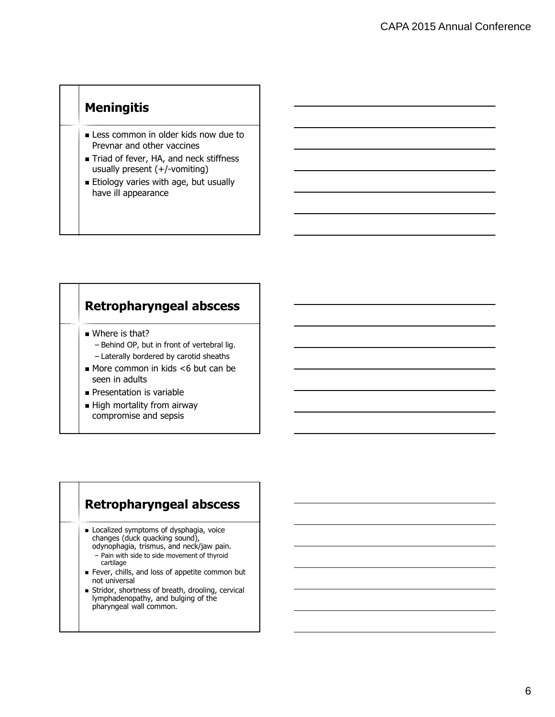### **Meningitis**

- **Less common in older kids now due to** Prevnar and other vaccines
- Triad of fever, HA, and neck stiffness usually present (+/-vomiting)
- **Etiology varies with age, but usually** have ill appearance

### **Retropharyngeal abscess**

- Where is that?
	- Behind OP, but in front of vertebral lig. – Laterally bordered by carotid sheaths
- $\blacksquare$  More common in kids <6 but can be seen in adults
- **Presentation is variable**
- High mortality from airway compromise and sepsis

### **Retropharyngeal abscess**

- Localized symptoms of dysphagia, voice changes (duck quacking sound), odynophagia, trismus, and neck/jaw pain.
	- Pain with side to side movement of thyroid cartilage
- Fever, chills, and loss of appetite common but not universal
- $\blacksquare$  Stridor, shortness of breath, drooling, cervical lymphadenopathy, and bulging of the pharyngeal wall common.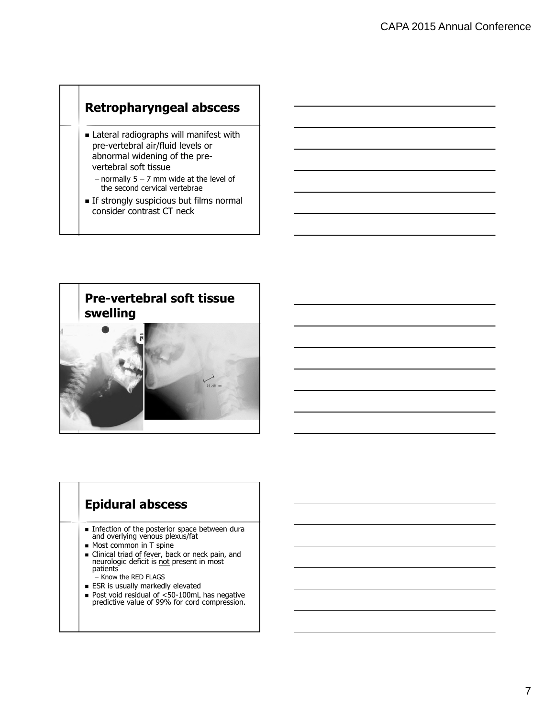### **Retropharyngeal abscess**

- **Example 1** Lateral radiographs will manifest with pre-vertebral air/fluid levels or abnormal widening of the prevertebral soft tissue
	- $-$  normally 5  $-$  7 mm wide at the level of the second cervical vertebrae
- If strongly suspicious but films normal consider contrast CT neck



### **Epidural abscess**

- **Infection of the posterior space between dura** and overlying venous plexus/fat
- **Most common in T spine**
- **Example 2** Clinical triad of fever, back or neck pain, and neurologic deficit is not present in most patients
	- Know the RED FLAGS
- **ESR** is usually markedly elevated
- Post void residual of  $\leq$  50-100mL has negative predictive value of 99% for cord compression.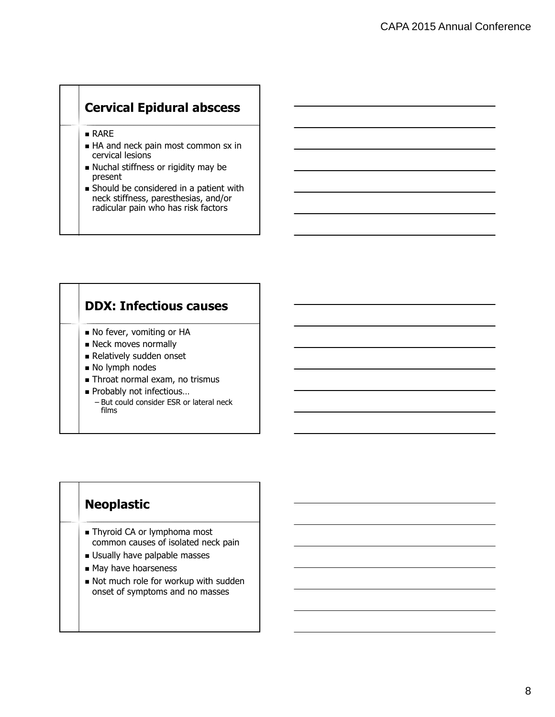### **Cervical Epidural abscess**

- **RARE**
- HA and neck pain most common sx in cervical lesions
- Nuchal stiffness or rigidity may be present
- Should be considered in a patient with neck stiffness, paresthesias, and/or radicular pain who has risk factors

### **DDX: Infectious causes**

- No fever, vomiting or HA
- **Neck moves normally**
- Relatively sudden onset
- No lymph nodes
- Throat normal exam, no trismus
- Probably not infectious...
	- But could consider ESR or lateral neck films

### **Neoplastic**

- Thyroid CA or lymphoma most common causes of isolated neck pain
- Usually have palpable masses
- May have hoarseness
- Not much role for workup with sudden onset of symptoms and no masses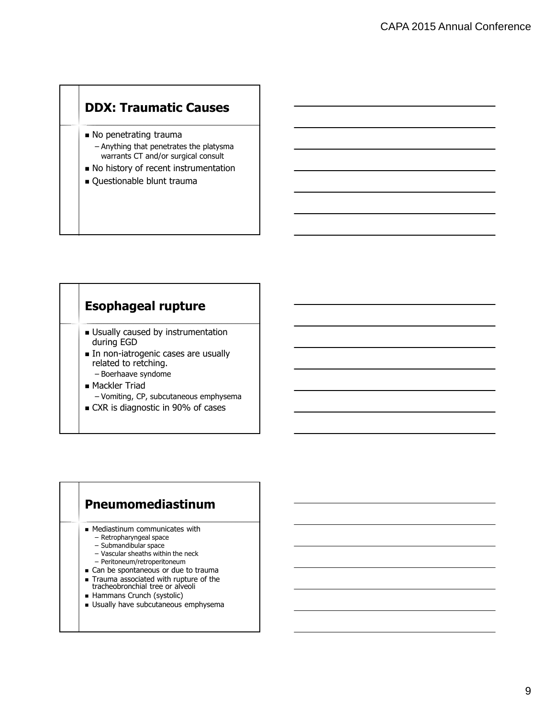### **DDX: Traumatic Causes**

- No penetrating trauma – Anything that penetrates the platysma warrants CT and/or surgical consult
- No history of recent instrumentation
- Questionable blunt trauma

#### **Esophageal rupture**

- Usually caused by instrumentation during EGD
- In non-iatrogenic cases are usually related to retching. – Boerhaave syndome
- **Mackler Triad**
- Vomiting, CP, subcutaneous emphysema
- CXR is diagnostic in 90% of cases

#### **Pneumomediastinum**

- Mediastinum communicates with
	- Retropharyngeal space
	- Submandibular space
	- Vascular sheaths within the neck – Peritoneum/retroperitoneum
- Can be spontaneous or due to trauma
- 
- Trauma associated with rupture of the tracheobronchial tree or alveoli
- Hammans Crunch (systolic)
- **Usually have subcutaneous emphysema**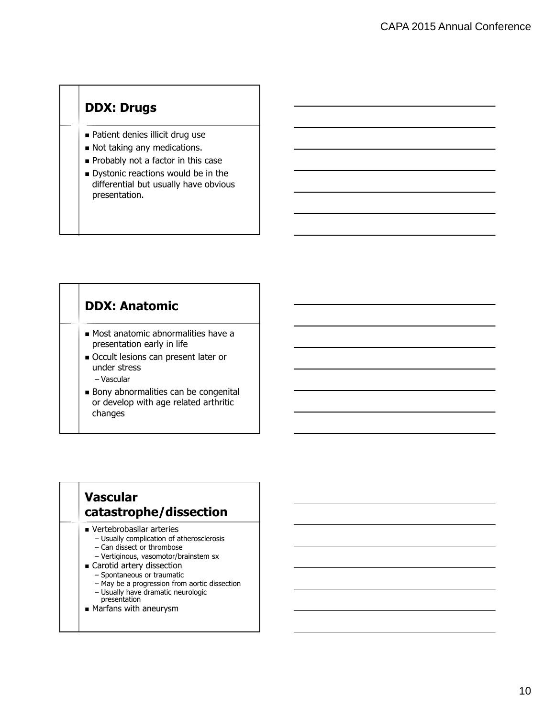### **DDX: Drugs**

- Patient denies illicit drug use
- Not taking any medications.
- **Probably not a factor in this case**
- Dystonic reactions would be in the differential but usually have obvious presentation.

### **DDX: Anatomic**

- Most anatomic abnormalities have a presentation early in life
- Occult lesions can present later or under stress
	- Vascular
- Bony abnormalities can be congenital or develop with age related arthritic changes

#### **Vascular catastrophe/dissection**

- Vertebrobasilar arteries
	- Usually complication of atherosclerosis
	- Can dissect or thrombose
	- Vertiginous, vasomotor/brainstem sx
- Carotid artery dissection
	- Spontaneous or traumatic
	- May be a progression from aortic dissection
	- Usually have dramatic neurologic
	- presentation
- Marfans with aneurysm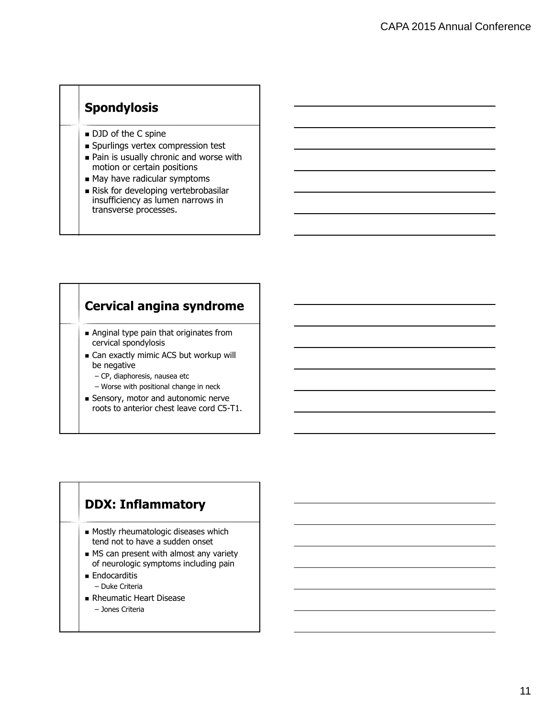### **Spondylosis**

- DJD of the C spine
- Spurlings vertex compression test
- Pain is usually chronic and worse with motion or certain positions
- May have radicular symptoms
- Risk for developing vertebrobasilar insufficiency as lumen narrows in transverse processes.

### **Cervical angina syndrome**

- Anginal type pain that originates from cervical spondylosis
- Can exactly mimic ACS but workup will be negative
	- CP, diaphoresis, nausea etc
	- Worse with positional change in neck
- **Sensory, motor and autonomic nerve** roots to anterior chest leave cord C5-T1.

### **DDX: Inflammatory**

- **Mostly rheumatologic diseases which** tend not to have a sudden onset
- **MS** can present with almost any variety of neurologic symptoms including pain
- **Endocarditis** 
	- Duke Criteria
- Rheumatic Heart Disease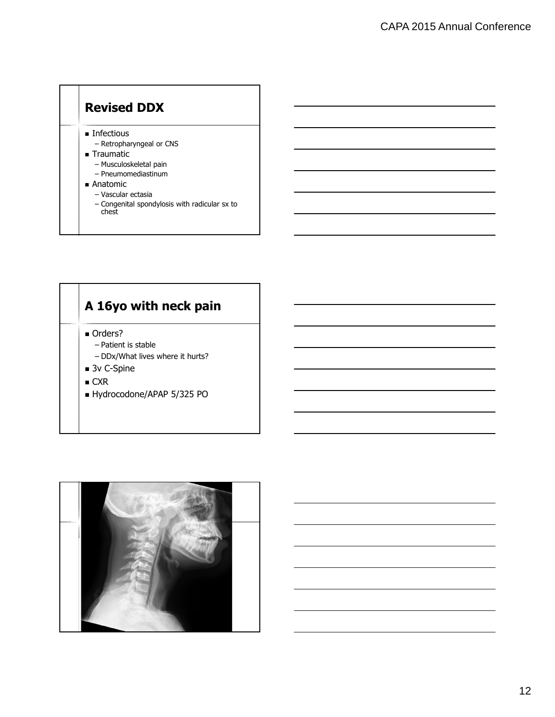### **Revised DDX**

**n** Infectious

– Retropharyngeal or CNS

■ Traumatic

- Musculoskeletal pain
- Pneumomediastinum
- Anatomic
	- Vascular ectasia
	- Congenital spondylosis with radicular sx to chest

## **A 16yo with neck pain** Orders? – Patient is stable – DDx/What lives where it hurts? ■ 3v C-Spine  $CXR$ Hydrocodone/APAP 5/325 PO

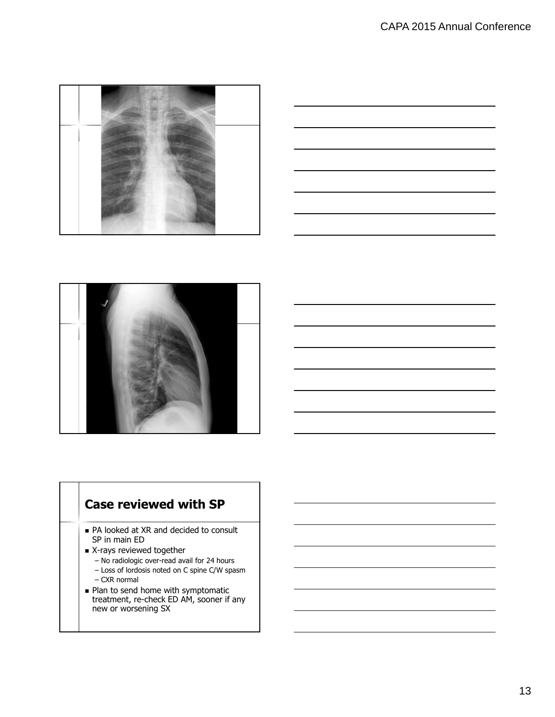







### **Case reviewed with SP**

- PA looked at XR and decided to consult SP in main ED
- X-rays reviewed together
	- No radiologic over-read avail for 24 hours
	- Loss of lordosis noted on C spine C/W spasm
	- CXR normal
- **Plan to send home with symptomatic** treatment, re-check ED AM, sooner if any new or worsening SX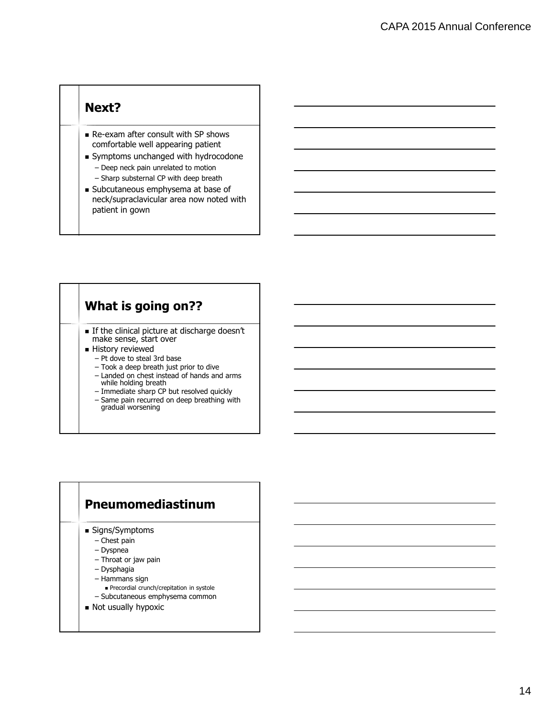### **Next?**

- Re-exam after consult with SP shows comfortable well appearing patient
- Symptoms unchanged with hydrocodone
	- Deep neck pain unrelated to motion
	- Sharp substernal CP with deep breath
- Subcutaneous emphysema at base of neck/supraclavicular area now noted with patient in gown

#### **What is going on??**

- If the clinical picture at discharge doesn't make sense, start over
- **History reviewed** – Pt dove to steal 3rd base
	- Took a deep breath just prior to dive
	- Landed on chest instead of hands and arms while holding breath
	- Immediate sharp CP but resolved quickly
	- Same pain recurred on deep breathing with gradual worsening

### **Pneumomediastinum**

- Signs/Symptoms
	- Chest pain
	- Dyspnea
	- Throat or jaw pain
	- Dysphagia
	- Hammans sign
	- **Precordial crunch/crepitation in systole**
	- Subcutaneous emphysema common
- Not usually hypoxic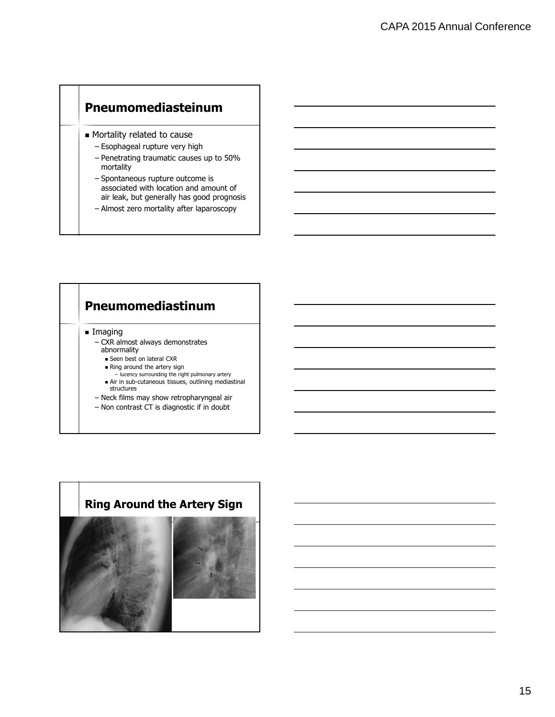### **Pneumomediasteinum**

- **Mortality related to cause** 
	- Esophageal rupture very high
	- Penetrating traumatic causes up to 50% mortality
	- Spontaneous rupture outcome is associated with location and amount of air leak, but generally has good prognosis
	- Almost zero mortality after laparoscopy



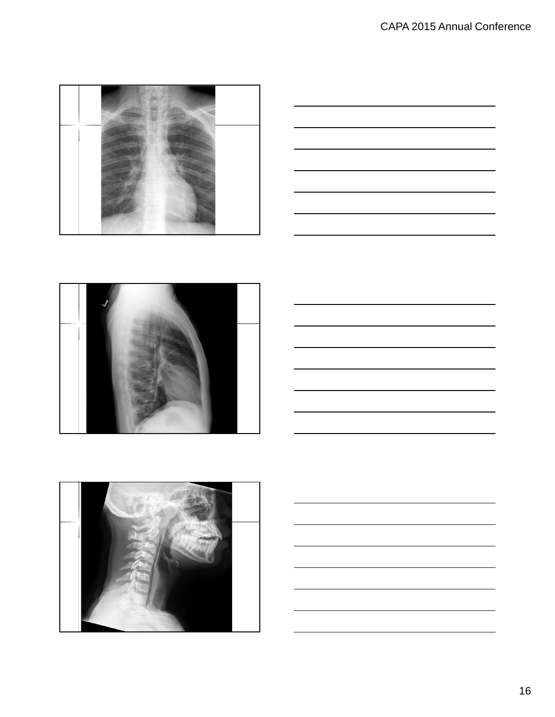